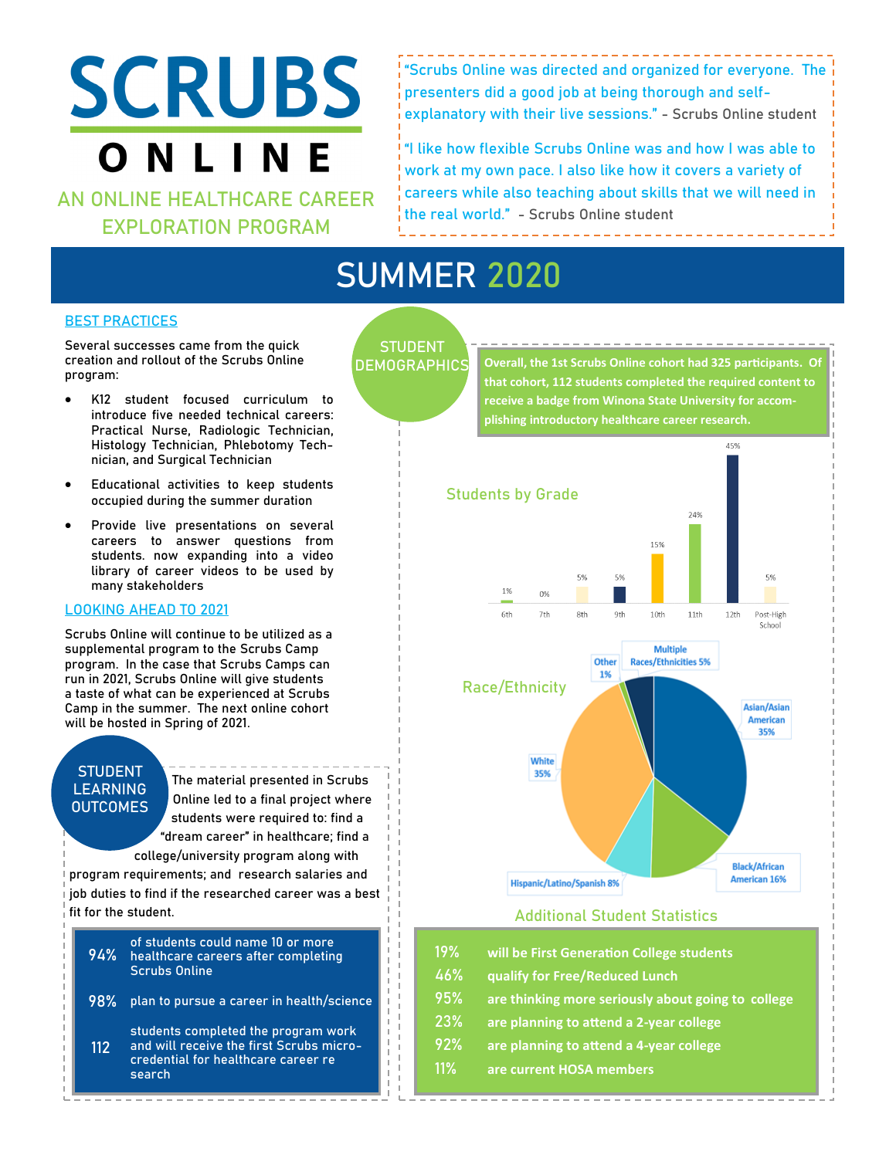# **SCRUBS** ONLINE

**AN ONLINE HEALTHCARE CAREER EXPLORATION PROGRAM**

"Scrubs Online was directed and organized for everyone. The presenters did a good job at being thorough and selfexplanatory with their live sessions." - Scrubs Online student

"I like how flexible Scrubs Online was and how I was able to work at my own pace. I also like how it covers a variety of careers while also teaching about skills that we will need in the real world." - Scrubs Online student

## **SUMMER 2020**

#### **BEST PRACTICES**

Several successes came from the quick creation and rollout of the Scrubs Online program:

- K12 student focused curriculum to introduce five needed technical careers: Practical Nurse, Radiologic Technician, Histology Technician, Phlebotomy Technician, and Surgical Technician
- Educational activities to keep students occupied during the summer duration
- Provide live presentations on several careers to answer questions from students. now expanding into a video library of career videos to be used by many stakeholders

#### **LOOKING AHEAD TO 2021**

Scrubs Online will continue to be utilized as a supplemental program to the Scrubs Camp program. In the case that Scrubs Camps can run in 2021, Scrubs Online will give students a taste of what can be experienced at Scrubs Camp in the summer. The next online cohort will be hosted in Spring of 2021.

#### **STUDENT LEARNING OUTCOMES**

The material presented in Scrubs Online led to a final project where students were required to: find a "dream career" in healthcare; find a college/university program along with

program requirements; and research salaries and job duties to find if the researched career was a best fit for the student.

|  | of students could name 10 or more<br>94% healthcare careers after completing<br><b>Scrubs Online</b> |
|--|------------------------------------------------------------------------------------------------------|
|--|------------------------------------------------------------------------------------------------------|

plan to pursue a career in health/science **98%**

students completed the program work and will receive the first Scrubs microcredential for healthcare career re search **112**

### **STUDENT DEMOGRAPHICS**

**Overall, the 1st Scrubs Online cohort had 325 participants. Of that cohort, 112 students completed the required content to receive a badge from Winona State University for accomplishing introductory healthcare career research.**



#### **Additional Student Statistics**

- **19% will be First Generation College students**
- **46% qualify for Free/Reduced Lunch**
- **95% are thinking more seriously about going to college**
- **23% are planning to attend a 2-year college**
- **92% are planning to attend a 4-year college**
- **11% are current HOSA members**